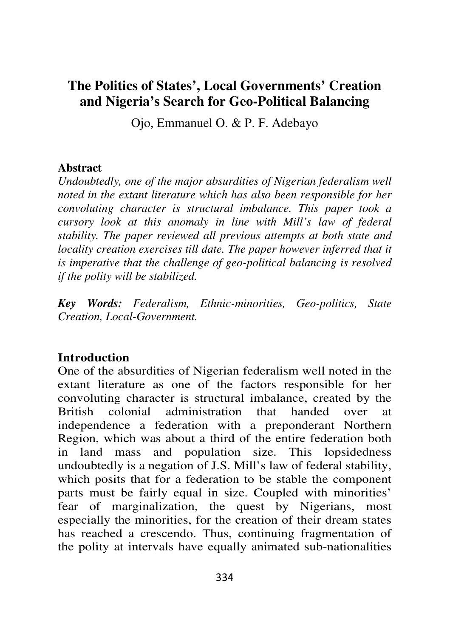# **The Politics of States', Local Governments' Creation and Nigeria's Search for Geo-Political Balancing**

Ojo, Emmanuel O. & P. F. Adebayo

#### **Abstract**

*Undoubtedly, one of the major absurdities of Nigerian federalism well noted in the extant literature which has also been responsible for her convoluting character is structural imbalance. This paper took a cursory look at this anomaly in line with Mill's law of federal stability. The paper reviewed all previous attempts at both state and locality creation exercises till date. The paper however inferred that it is imperative that the challenge of geo-political balancing is resolved if the polity will be stabilized.* 

*Key Words: Federalism, Ethnic-minorities, Geo-politics, State Creation, Local-Government.* 

### **Introduction**

One of the absurdities of Nigerian federalism well noted in the extant literature as one of the factors responsible for her convoluting character is structural imbalance, created by the British colonial administration that handed over at independence a federation with a preponderant Northern Region, which was about a third of the entire federation both in land mass and population size. This lopsidedness undoubtedly is a negation of J.S. Mill's law of federal stability, which posits that for a federation to be stable the component parts must be fairly equal in size. Coupled with minorities' fear of marginalization, the quest by Nigerians, most especially the minorities, for the creation of their dream states has reached a crescendo. Thus, continuing fragmentation of the polity at intervals have equally animated sub-nationalities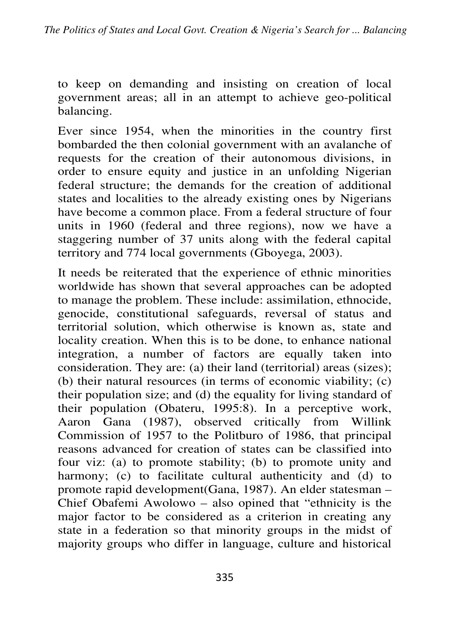to keep on demanding and insisting on creation of local government areas; all in an attempt to achieve geo-political balancing.

Ever since 1954, when the minorities in the country first bombarded the then colonial government with an avalanche of requests for the creation of their autonomous divisions, in order to ensure equity and justice in an unfolding Nigerian federal structure; the demands for the creation of additional states and localities to the already existing ones by Nigerians have become a common place. From a federal structure of four units in 1960 (federal and three regions), now we have a staggering number of 37 units along with the federal capital territory and 774 local governments (Gboyega, 2003).

It needs be reiterated that the experience of ethnic minorities worldwide has shown that several approaches can be adopted to manage the problem. These include: assimilation, ethnocide, genocide, constitutional safeguards, reversal of status and territorial solution, which otherwise is known as, state and locality creation. When this is to be done, to enhance national integration, a number of factors are equally taken into consideration. They are: (a) their land (territorial) areas (sizes); (b) their natural resources (in terms of economic viability; (c) their population size; and (d) the equality for living standard of their population (Obateru, 1995:8). In a perceptive work, Aaron Gana (1987), observed critically from Willink Commission of 1957 to the Politburo of 1986, that principal reasons advanced for creation of states can be classified into four viz: (a) to promote stability; (b) to promote unity and harmony; (c) to facilitate cultural authenticity and (d) to promote rapid development(Gana, 1987). An elder statesman – Chief Obafemi Awolowo – also opined that "ethnicity is the major factor to be considered as a criterion in creating any state in a federation so that minority groups in the midst of majority groups who differ in language, culture and historical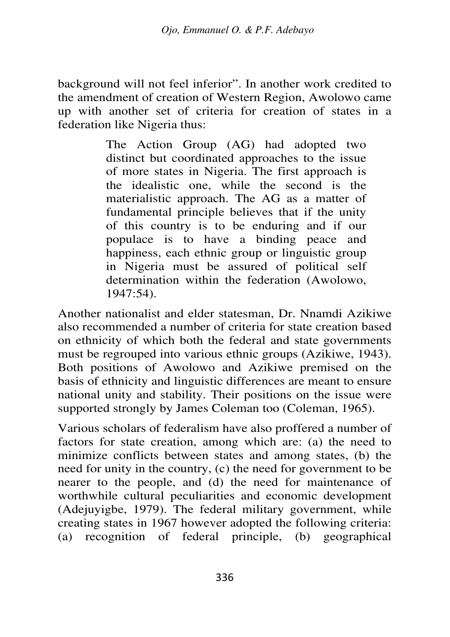background will not feel inferior". In another work credited to the amendment of creation of Western Region, Awolowo came up with another set of criteria for creation of states in a federation like Nigeria thus:

> The Action Group (AG) had adopted two distinct but coordinated approaches to the issue of more states in Nigeria. The first approach is the idealistic one, while the second is the materialistic approach. The AG as a matter of fundamental principle believes that if the unity of this country is to be enduring and if our populace is to have a binding peace and happiness, each ethnic group or linguistic group in Nigeria must be assured of political self determination within the federation (Awolowo, 1947:54).

Another nationalist and elder statesman, Dr. Nnamdi Azikiwe also recommended a number of criteria for state creation based on ethnicity of which both the federal and state governments must be regrouped into various ethnic groups (Azikiwe, 1943). Both positions of Awolowo and Azikiwe premised on the basis of ethnicity and linguistic differences are meant to ensure national unity and stability. Their positions on the issue were supported strongly by James Coleman too (Coleman, 1965).

Various scholars of federalism have also proffered a number of factors for state creation, among which are: (a) the need to minimize conflicts between states and among states, (b) the need for unity in the country, (c) the need for government to be nearer to the people, and (d) the need for maintenance of worthwhile cultural peculiarities and economic development (Adejuyigbe, 1979). The federal military government, while creating states in 1967 however adopted the following criteria: (a) recognition of federal principle, (b) geographical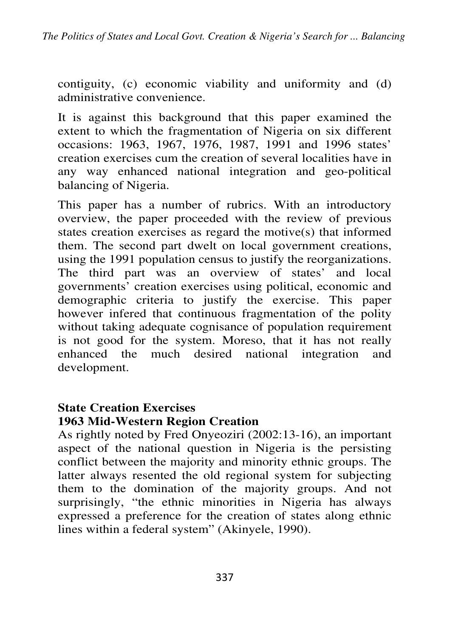contiguity, (c) economic viability and uniformity and (d) administrative convenience.

It is against this background that this paper examined the extent to which the fragmentation of Nigeria on six different occasions: 1963, 1967, 1976, 1987, 1991 and 1996 states' creation exercises cum the creation of several localities have in any way enhanced national integration and geo-political balancing of Nigeria.

This paper has a number of rubrics. With an introductory overview, the paper proceeded with the review of previous states creation exercises as regard the motive(s) that informed them. The second part dwelt on local government creations, using the 1991 population census to justify the reorganizations. The third part was an overview of states' and local governments' creation exercises using political, economic and demographic criteria to justify the exercise. This paper however infered that continuous fragmentation of the polity without taking adequate cognisance of population requirement is not good for the system. Moreso, that it has not really enhanced the much desired national integration and development.

#### **State Creation Exercises 1963 Mid-Western Region Creation**

As rightly noted by Fred Onyeoziri (2002:13-16), an important aspect of the national question in Nigeria is the persisting conflict between the majority and minority ethnic groups. The latter always resented the old regional system for subjecting them to the domination of the majority groups. And not surprisingly, "the ethnic minorities in Nigeria has always expressed a preference for the creation of states along ethnic lines within a federal system" (Akinyele, 1990).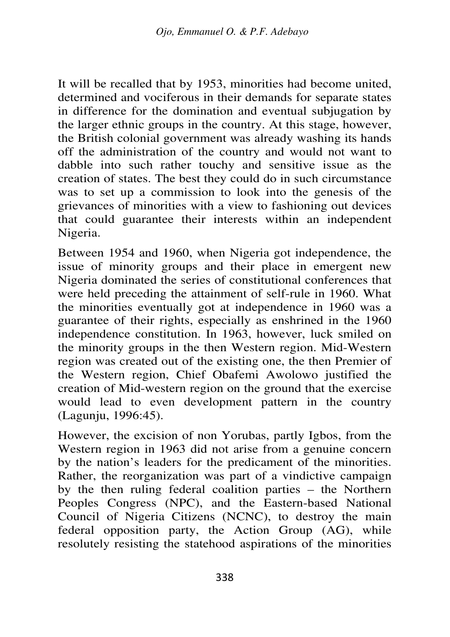It will be recalled that by 1953, minorities had become united, determined and vociferous in their demands for separate states in difference for the domination and eventual subjugation by the larger ethnic groups in the country. At this stage, however, the British colonial government was already washing its hands off the administration of the country and would not want to dabble into such rather touchy and sensitive issue as the creation of states. The best they could do in such circumstance was to set up a commission to look into the genesis of the grievances of minorities with a view to fashioning out devices that could guarantee their interests within an independent Nigeria.

Between 1954 and 1960, when Nigeria got independence, the issue of minority groups and their place in emergent new Nigeria dominated the series of constitutional conferences that were held preceding the attainment of self-rule in 1960. What the minorities eventually got at independence in 1960 was a guarantee of their rights, especially as enshrined in the 1960 independence constitution. In 1963, however, luck smiled on the minority groups in the then Western region. Mid-Western region was created out of the existing one, the then Premier of the Western region, Chief Obafemi Awolowo justified the creation of Mid-western region on the ground that the exercise would lead to even development pattern in the country (Lagunju, 1996:45).

However, the excision of non Yorubas, partly Igbos, from the Western region in 1963 did not arise from a genuine concern by the nation's leaders for the predicament of the minorities. Rather, the reorganization was part of a vindictive campaign by the then ruling federal coalition parties – the Northern Peoples Congress (NPC), and the Eastern-based National Council of Nigeria Citizens (NCNC), to destroy the main federal opposition party, the Action Group (AG), while resolutely resisting the statehood aspirations of the minorities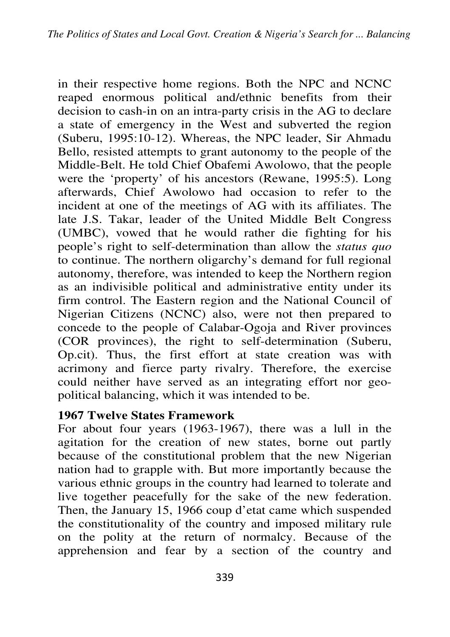in their respective home regions. Both the NPC and NCNC reaped enormous political and/ethnic benefits from their decision to cash-in on an intra-party crisis in the AG to declare a state of emergency in the West and subverted the region (Suberu, 1995:10-12). Whereas, the NPC leader, Sir Ahmadu Bello, resisted attempts to grant autonomy to the people of the Middle-Belt. He told Chief Obafemi Awolowo, that the people were the 'property' of his ancestors (Rewane, 1995:5). Long afterwards, Chief Awolowo had occasion to refer to the incident at one of the meetings of AG with its affiliates. The late J.S. Takar, leader of the United Middle Belt Congress (UMBC), vowed that he would rather die fighting for his people's right to self-determination than allow the *status quo* to continue. The northern oligarchy's demand for full regional autonomy, therefore, was intended to keep the Northern region as an indivisible political and administrative entity under its firm control. The Eastern region and the National Council of Nigerian Citizens (NCNC) also, were not then prepared to concede to the people of Calabar-Ogoja and River provinces (COR provinces), the right to self-determination (Suberu, Op.cit). Thus, the first effort at state creation was with acrimony and fierce party rivalry. Therefore, the exercise could neither have served as an integrating effort nor geopolitical balancing, which it was intended to be.

### **1967 Twelve States Framework**

For about four years (1963-1967), there was a lull in the agitation for the creation of new states, borne out partly because of the constitutional problem that the new Nigerian nation had to grapple with. But more importantly because the various ethnic groups in the country had learned to tolerate and live together peacefully for the sake of the new federation. Then, the January 15, 1966 coup d'etat came which suspended the constitutionality of the country and imposed military rule on the polity at the return of normalcy. Because of the apprehension and fear by a section of the country and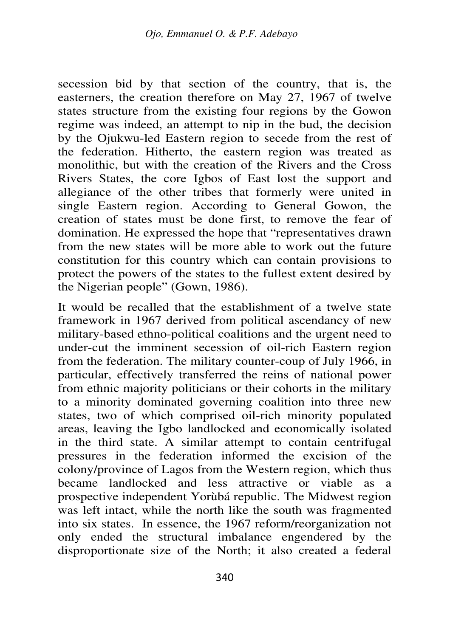secession bid by that section of the country, that is, the easterners, the creation therefore on May 27, 1967 of twelve states structure from the existing four regions by the Gowon regime was indeed, an attempt to nip in the bud, the decision by the Ojukwu-led Eastern region to secede from the rest of the federation. Hitherto, the eastern region was treated as monolithic, but with the creation of the Rivers and the Cross Rivers States, the core Igbos of East lost the support and allegiance of the other tribes that formerly were united in single Eastern region. According to General Gowon, the creation of states must be done first, to remove the fear of domination. He expressed the hope that "representatives drawn from the new states will be more able to work out the future constitution for this country which can contain provisions to protect the powers of the states to the fullest extent desired by the Nigerian people" (Gown, 1986).

It would be recalled that the establishment of a twelve state framework in 1967 derived from political ascendancy of new military-based ethno-political coalitions and the urgent need to under-cut the imminent secession of oil-rich Eastern region from the federation. The military counter-coup of July 1966, in particular, effectively transferred the reins of national power from ethnic majority politicians or their cohorts in the military to a minority dominated governing coalition into three new states, two of which comprised oil-rich minority populated areas, leaving the Igbo landlocked and economically isolated in the third state. A similar attempt to contain centrifugal pressures in the federation informed the excision of the colony/province of Lagos from the Western region, which thus became landlocked and less attractive or viable as a prospective independent Yorùbá republic. The Midwest region was left intact, while the north like the south was fragmented into six states. In essence, the 1967 reform/reorganization not only ended the structural imbalance engendered by the disproportionate size of the North; it also created a federal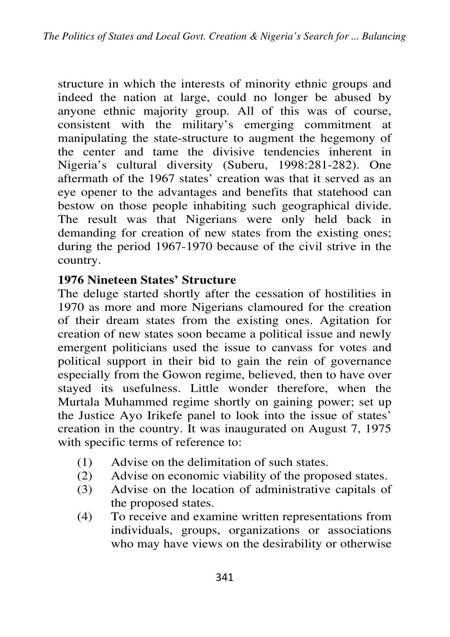structure in which the interests of minority ethnic groups and indeed the nation at large, could no longer be abused by anyone ethnic majority group. All of this was of course, consistent with the military's emerging commitment at manipulating the state-structure to augment the hegemony of the center and tame the divisive tendencies inherent in Nigeria's cultural diversity (Suberu, 1998:281-282). One aftermath of the 1967 states' creation was that it served as an eye opener to the advantages and benefits that statehood can bestow on those people inhabiting such geographical divide. The result was that Nigerians were only held back in demanding for creation of new states from the existing ones; during the period 1967-1970 because of the civil strive in the country.

## **1976 Nineteen States' Structure**

The deluge started shortly after the cessation of hostilities in 1970 as more and more Nigerians clamoured for the creation of their dream states from the existing ones. Agitation for creation of new states soon became a political issue and newly emergent politicians used the issue to canvass for votes and political support in their bid to gain the rein of governance especially from the Gowon regime, believed, then to have over stayed its usefulness. Little wonder therefore, when the Murtala Muhammed regime shortly on gaining power; set up the Justice Ayo Irikefe panel to look into the issue of states' creation in the country. It was inaugurated on August 7, 1975 with specific terms of reference to:

- (1) Advise on the delimitation of such states.
- (2) Advise on economic viability of the proposed states.
- (3) Advise on the location of administrative capitals of the proposed states.
- (4) To receive and examine written representations from individuals, groups, organizations or associations who may have views on the desirability or otherwise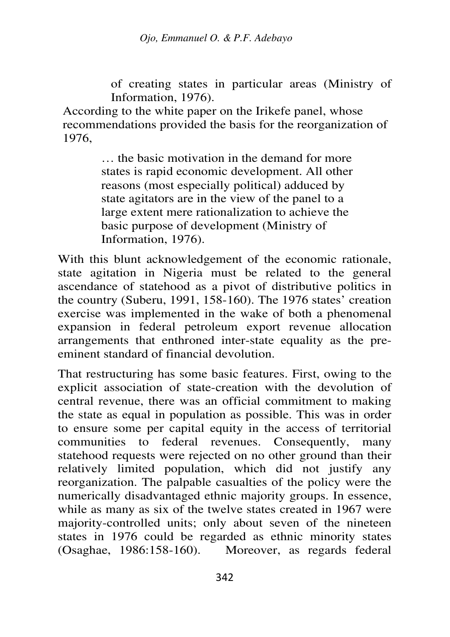of creating states in particular areas (Ministry of Information, 1976).

According to the white paper on the Irikefe panel, whose recommendations provided the basis for the reorganization of 1976,

> … the basic motivation in the demand for more states is rapid economic development. All other reasons (most especially political) adduced by state agitators are in the view of the panel to a large extent mere rationalization to achieve the basic purpose of development (Ministry of Information, 1976).

With this blunt acknowledgement of the economic rationale, state agitation in Nigeria must be related to the general ascendance of statehood as a pivot of distributive politics in the country (Suberu, 1991, 158-160). The 1976 states' creation exercise was implemented in the wake of both a phenomenal expansion in federal petroleum export revenue allocation arrangements that enthroned inter-state equality as the preeminent standard of financial devolution.

That restructuring has some basic features. First, owing to the explicit association of state-creation with the devolution of central revenue, there was an official commitment to making the state as equal in population as possible. This was in order to ensure some per capital equity in the access of territorial communities to federal revenues. Consequently, many statehood requests were rejected on no other ground than their relatively limited population, which did not justify any reorganization. The palpable casualties of the policy were the numerically disadvantaged ethnic majority groups. In essence, while as many as six of the twelve states created in 1967 were majority-controlled units; only about seven of the nineteen states in 1976 could be regarded as ethnic minority states (Osaghae, 1986:158-160). Moreover, as regards federal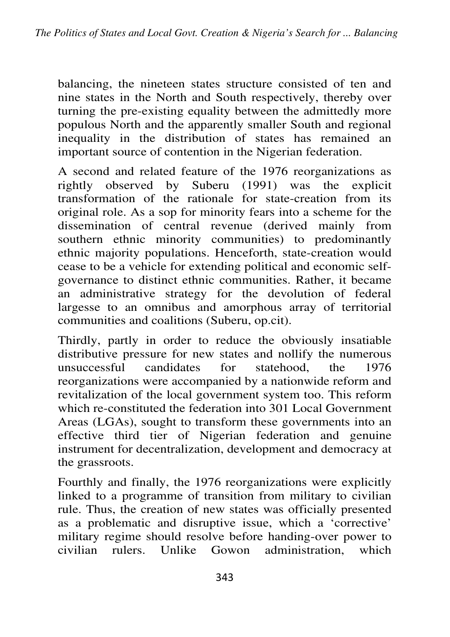balancing, the nineteen states structure consisted of ten and nine states in the North and South respectively, thereby over turning the pre-existing equality between the admittedly more populous North and the apparently smaller South and regional inequality in the distribution of states has remained an important source of contention in the Nigerian federation.

A second and related feature of the 1976 reorganizations as rightly observed by Suberu (1991) was the explicit transformation of the rationale for state-creation from its original role. As a sop for minority fears into a scheme for the dissemination of central revenue (derived mainly from southern ethnic minority communities) to predominantly ethnic majority populations. Henceforth, state-creation would cease to be a vehicle for extending political and economic selfgovernance to distinct ethnic communities. Rather, it became an administrative strategy for the devolution of federal largesse to an omnibus and amorphous array of territorial communities and coalitions (Suberu, op.cit).

Thirdly, partly in order to reduce the obviously insatiable distributive pressure for new states and nollify the numerous unsuccessful candidates for statehood, the 1976 reorganizations were accompanied by a nationwide reform and revitalization of the local government system too. This reform which re-constituted the federation into 301 Local Government Areas (LGAs), sought to transform these governments into an effective third tier of Nigerian federation and genuine instrument for decentralization, development and democracy at the grassroots.

Fourthly and finally, the 1976 reorganizations were explicitly linked to a programme of transition from military to civilian rule. Thus, the creation of new states was officially presented as a problematic and disruptive issue, which a 'corrective' military regime should resolve before handing-over power to civilian rulers. Unlike Gowon administration, which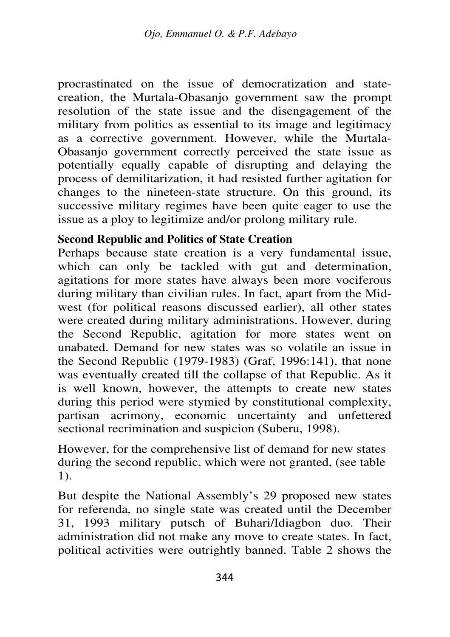procrastinated on the issue of democratization and statecreation, the Murtala-Obasanjo government saw the prompt resolution of the state issue and the disengagement of the military from politics as essential to its image and legitimacy as a corrective government. However, while the Murtala-Obasanjo government correctly perceived the state issue as potentially equally capable of disrupting and delaying the process of demilitarization, it had resisted further agitation for changes to the nineteen-state structure. On this ground, its successive military regimes have been quite eager to use the issue as a ploy to legitimize and/or prolong military rule.

## **Second Republic and Politics of State Creation**

Perhaps because state creation is a very fundamental issue, which can only be tackled with gut and determination, agitations for more states have always been more vociferous during military than civilian rules. In fact, apart from the Midwest (for political reasons discussed earlier), all other states were created during military administrations. However, during the Second Republic, agitation for more states went on unabated. Demand for new states was so volatile an issue in the Second Republic (1979-1983) (Graf, 1996:141), that none was eventually created till the collapse of that Republic. As it is well known, however, the attempts to create new states during this period were stymied by constitutional complexity, partisan acrimony, economic uncertainty and unfettered sectional recrimination and suspicion (Suberu, 1998).

However, for the comprehensive list of demand for new states during the second republic, which were not granted, (see table 1).

But despite the National Assembly's 29 proposed new states for referenda, no single state was created until the December 31, 1993 military putsch of Buhari/Idiagbon duo. Their administration did not make any move to create states. In fact, political activities were outrightly banned. Table 2 shows the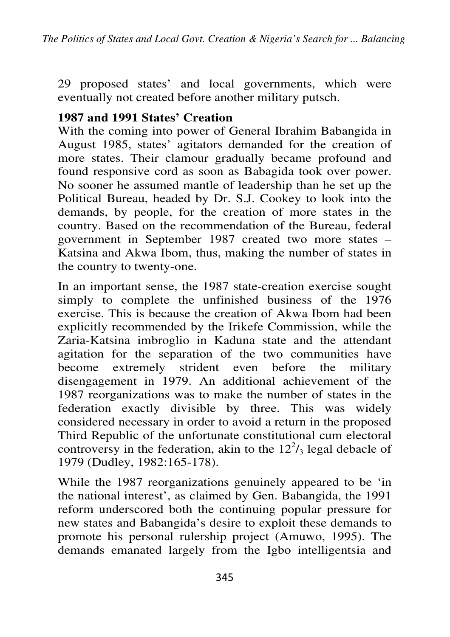29 proposed states' and local governments, which were eventually not created before another military putsch.

### **1987 and 1991 States' Creation**

With the coming into power of General Ibrahim Babangida in August 1985, states' agitators demanded for the creation of more states. Their clamour gradually became profound and found responsive cord as soon as Babagida took over power. No sooner he assumed mantle of leadership than he set up the Political Bureau, headed by Dr. S.J. Cookey to look into the demands, by people, for the creation of more states in the country. Based on the recommendation of the Bureau, federal government in September 1987 created two more states – Katsina and Akwa Ibom, thus, making the number of states in the country to twenty-one.

In an important sense, the 1987 state-creation exercise sought simply to complete the unfinished business of the 1976 exercise. This is because the creation of Akwa Ibom had been explicitly recommended by the Irikefe Commission, while the Zaria-Katsina imbroglio in Kaduna state and the attendant agitation for the separation of the two communities have become extremely strident even before the military disengagement in 1979. An additional achievement of the 1987 reorganizations was to make the number of states in the federation exactly divisible by three. This was widely considered necessary in order to avoid a return in the proposed Third Republic of the unfortunate constitutional cum electoral controversy in the federation, akin to the  $12^2$ /<sub>3</sub> legal debacle of 1979 (Dudley, 1982:165-178).

While the 1987 reorganizations genuinely appeared to be 'in the national interest', as claimed by Gen. Babangida, the 1991 reform underscored both the continuing popular pressure for new states and Babangida's desire to exploit these demands to promote his personal rulership project (Amuwo, 1995). The demands emanated largely from the Igbo intelligentsia and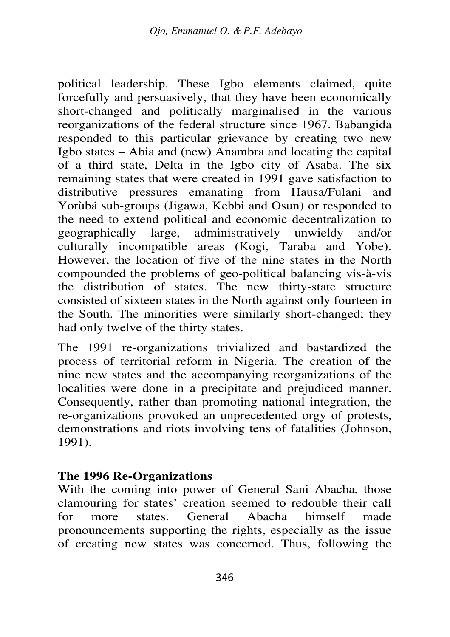political leadership. These Igbo elements claimed, quite forcefully and persuasively, that they have been economically short-changed and politically marginalised in the various reorganizations of the federal structure since 1967. Babangida responded to this particular grievance by creating two new Igbo states – Abia and (new) Anambra and locating the capital of a third state, Delta in the Igbo city of Asaba. The six remaining states that were created in 1991 gave satisfaction to distributive pressures emanating from Hausa/Fulani and Yorùbá sub-groups (Jigawa, Kebbi and Osun) or responded to the need to extend political and economic decentralization to geographically large, administratively unwieldy and/or culturally incompatible areas (Kogi, Taraba and Yobe). However, the location of five of the nine states in the North compounded the problems of geo-political balancing vis-à-vis the distribution of states. The new thirty-state structure consisted of sixteen states in the North against only fourteen in the South. The minorities were similarly short-changed; they had only twelve of the thirty states.

The 1991 re-organizations trivialized and bastardized the process of territorial reform in Nigeria. The creation of the nine new states and the accompanying reorganizations of the localities were done in a precipitate and prejudiced manner. Consequently, rather than promoting national integration, the re-organizations provoked an unprecedented orgy of protests, demonstrations and riots involving tens of fatalities (Johnson, 1991).

#### **The 1996 Re-Organizations**

With the coming into power of General Sani Abacha, those clamouring for states' creation seemed to redouble their call for more states. General Abacha himself made pronouncements supporting the rights, especially as the issue of creating new states was concerned. Thus, following the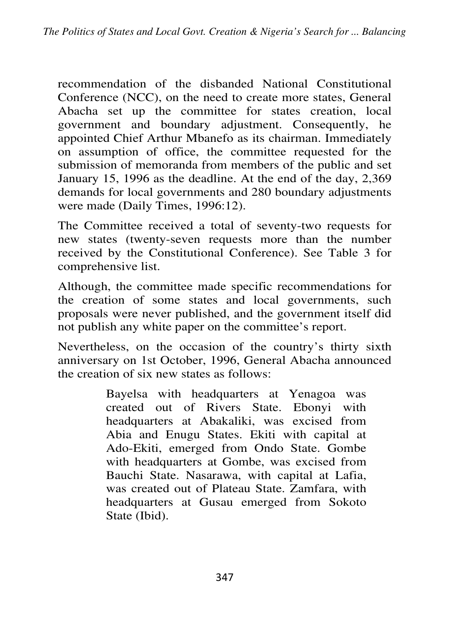recommendation of the disbanded National Constitutional Conference (NCC), on the need to create more states, General Abacha set up the committee for states creation, local government and boundary adjustment. Consequently, he appointed Chief Arthur Mbanefo as its chairman. Immediately on assumption of office, the committee requested for the submission of memoranda from members of the public and set January 15, 1996 as the deadline. At the end of the day, 2,369 demands for local governments and 280 boundary adjustments were made (Daily Times, 1996:12).

The Committee received a total of seventy-two requests for new states (twenty-seven requests more than the number received by the Constitutional Conference). See Table 3 for comprehensive list.

Although, the committee made specific recommendations for the creation of some states and local governments, such proposals were never published, and the government itself did not publish any white paper on the committee's report.

Nevertheless, on the occasion of the country's thirty sixth anniversary on 1st October, 1996, General Abacha announced the creation of six new states as follows:

> Bayelsa with headquarters at Yenagoa was created out of Rivers State. Ebonyi with headquarters at Abakaliki, was excised from Abia and Enugu States. Ekiti with capital at Ado-Ekiti, emerged from Ondo State. Gombe with headquarters at Gombe, was excised from Bauchi State. Nasarawa, with capital at Lafia, was created out of Plateau State. Zamfara, with headquarters at Gusau emerged from Sokoto State (Ibid).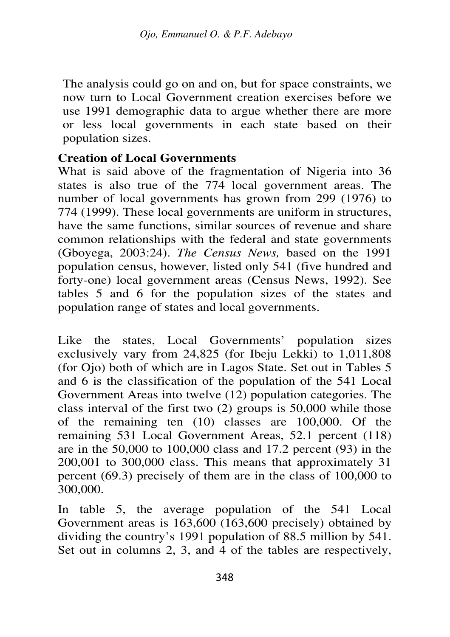The analysis could go on and on, but for space constraints, we now turn to Local Government creation exercises before we use 1991 demographic data to argue whether there are more or less local governments in each state based on their population sizes.

#### **Creation of Local Governments**

What is said above of the fragmentation of Nigeria into 36 states is also true of the 774 local government areas. The number of local governments has grown from 299 (1976) to 774 (1999). These local governments are uniform in structures, have the same functions, similar sources of revenue and share common relationships with the federal and state governments (Gboyega, 2003:24). *The Census News,* based on the 1991 population census, however, listed only 541 (five hundred and forty-one) local government areas (Census News, 1992). See tables 5 and 6 for the population sizes of the states and population range of states and local governments.

Like the states, Local Governments' population sizes exclusively vary from 24,825 (for Ibeju Lekki) to 1,011,808 (for Ojo) both of which are in Lagos State. Set out in Tables 5 and 6 is the classification of the population of the 541 Local Government Areas into twelve (12) population categories. The class interval of the first two (2) groups is 50,000 while those of the remaining ten (10) classes are 100,000. Of the remaining 531 Local Government Areas, 52.1 percent (118) are in the 50,000 to 100,000 class and 17.2 percent (93) in the 200,001 to 300,000 class. This means that approximately 31 percent (69.3) precisely of them are in the class of 100,000 to 300,000.

In table 5, the average population of the 541 Local Government areas is 163,600 (163,600 precisely) obtained by dividing the country's 1991 population of 88.5 million by 541. Set out in columns 2, 3, and 4 of the tables are respectively,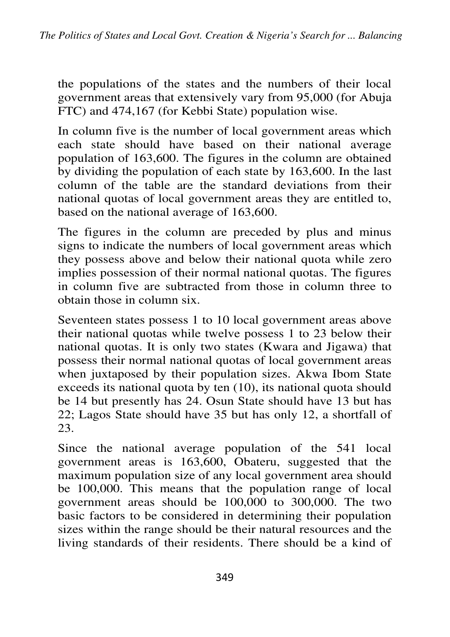the populations of the states and the numbers of their local government areas that extensively vary from 95,000 (for Abuja FTC) and 474,167 (for Kebbi State) population wise.

In column five is the number of local government areas which each state should have based on their national average population of 163,600. The figures in the column are obtained by dividing the population of each state by 163,600. In the last column of the table are the standard deviations from their national quotas of local government areas they are entitled to, based on the national average of 163,600.

The figures in the column are preceded by plus and minus signs to indicate the numbers of local government areas which they possess above and below their national quota while zero implies possession of their normal national quotas. The figures in column five are subtracted from those in column three to obtain those in column six.

Seventeen states possess 1 to 10 local government areas above their national quotas while twelve possess 1 to 23 below their national quotas. It is only two states (Kwara and Jigawa) that possess their normal national quotas of local government areas when juxtaposed by their population sizes. Akwa Ibom State exceeds its national quota by ten (10), its national quota should be 14 but presently has 24. Osun State should have 13 but has 22; Lagos State should have 35 but has only 12, a shortfall of 23.

Since the national average population of the 541 local government areas is 163,600, Obateru, suggested that the maximum population size of any local government area should be 100,000. This means that the population range of local government areas should be 100,000 to 300,000. The two basic factors to be considered in determining their population sizes within the range should be their natural resources and the living standards of their residents. There should be a kind of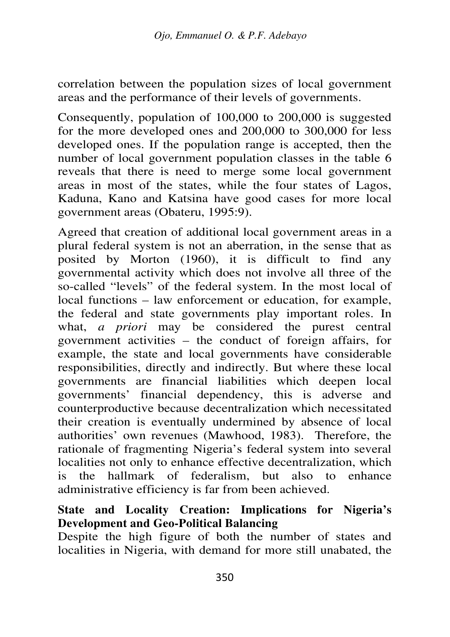correlation between the population sizes of local government areas and the performance of their levels of governments.

Consequently, population of 100,000 to 200,000 is suggested for the more developed ones and 200,000 to 300,000 for less developed ones. If the population range is accepted, then the number of local government population classes in the table 6 reveals that there is need to merge some local government areas in most of the states, while the four states of Lagos, Kaduna, Kano and Katsina have good cases for more local government areas (Obateru, 1995:9).

Agreed that creation of additional local government areas in a plural federal system is not an aberration, in the sense that as posited by Morton (1960), it is difficult to find any governmental activity which does not involve all three of the so-called "levels" of the federal system. In the most local of local functions – law enforcement or education, for example, the federal and state governments play important roles. In what, *a priori* may be considered the purest central government activities – the conduct of foreign affairs, for example, the state and local governments have considerable responsibilities, directly and indirectly. But where these local governments are financial liabilities which deepen local governments' financial dependency, this is adverse and counterproductive because decentralization which necessitated their creation is eventually undermined by absence of local authorities' own revenues (Mawhood, 1983). Therefore, the rationale of fragmenting Nigeria's federal system into several localities not only to enhance effective decentralization, which is the hallmark of federalism, but also to enhance administrative efficiency is far from been achieved.

### **State and Locality Creation: Implications for Nigeria's Development and Geo-Political Balancing**

Despite the high figure of both the number of states and localities in Nigeria, with demand for more still unabated, the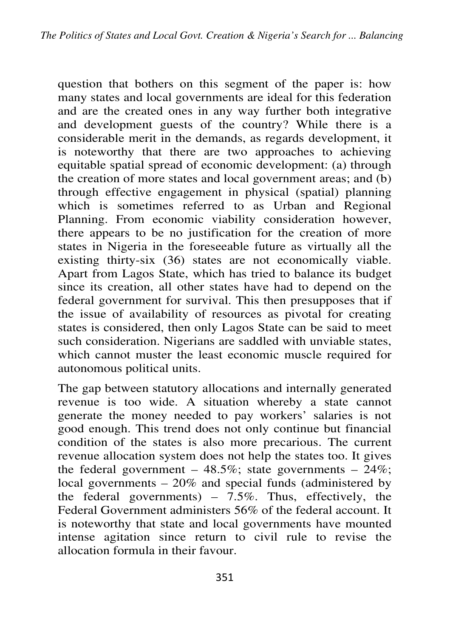question that bothers on this segment of the paper is: how many states and local governments are ideal for this federation and are the created ones in any way further both integrative and development guests of the country? While there is a considerable merit in the demands, as regards development, it is noteworthy that there are two approaches to achieving equitable spatial spread of economic development: (a) through the creation of more states and local government areas; and (b) through effective engagement in physical (spatial) planning which is sometimes referred to as Urban and Regional Planning. From economic viability consideration however, there appears to be no justification for the creation of more states in Nigeria in the foreseeable future as virtually all the existing thirty-six (36) states are not economically viable. Apart from Lagos State, which has tried to balance its budget since its creation, all other states have had to depend on the federal government for survival. This then presupposes that if the issue of availability of resources as pivotal for creating states is considered, then only Lagos State can be said to meet such consideration. Nigerians are saddled with unviable states, which cannot muster the least economic muscle required for autonomous political units.

The gap between statutory allocations and internally generated revenue is too wide. A situation whereby a state cannot generate the money needed to pay workers' salaries is not good enough. This trend does not only continue but financial condition of the states is also more precarious. The current revenue allocation system does not help the states too. It gives the federal government – 48.5%; state governments –  $24\%$ ; local governments  $-20\%$  and special funds (administered by the federal governments) –  $7.5\%$ . Thus, effectively, the Federal Government administers 56% of the federal account. It is noteworthy that state and local governments have mounted intense agitation since return to civil rule to revise the allocation formula in their favour.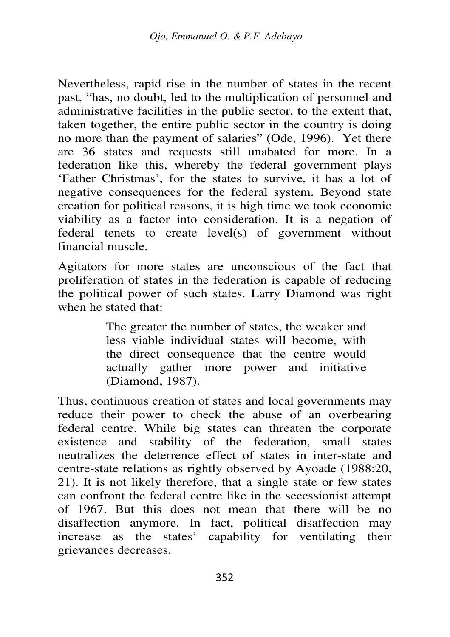Nevertheless, rapid rise in the number of states in the recent past, "has, no doubt, led to the multiplication of personnel and administrative facilities in the public sector, to the extent that, taken together, the entire public sector in the country is doing no more than the payment of salaries" (Ode, 1996). Yet there are 36 states and requests still unabated for more. In a federation like this, whereby the federal government plays 'Father Christmas', for the states to survive, it has a lot of negative consequences for the federal system. Beyond state creation for political reasons, it is high time we took economic viability as a factor into consideration. It is a negation of federal tenets to create level(s) of government without financial muscle.

Agitators for more states are unconscious of the fact that proliferation of states in the federation is capable of reducing the political power of such states. Larry Diamond was right when he stated that:

> The greater the number of states, the weaker and less viable individual states will become, with the direct consequence that the centre would actually gather more power and initiative (Diamond, 1987).

Thus, continuous creation of states and local governments may reduce their power to check the abuse of an overbearing federal centre. While big states can threaten the corporate existence and stability of the federation, small states neutralizes the deterrence effect of states in inter-state and centre-state relations as rightly observed by Ayoade (1988:20, 21). It is not likely therefore, that a single state or few states can confront the federal centre like in the secessionist attempt of 1967. But this does not mean that there will be no disaffection anymore. In fact, political disaffection may increase as the states' capability for ventilating their grievances decreases.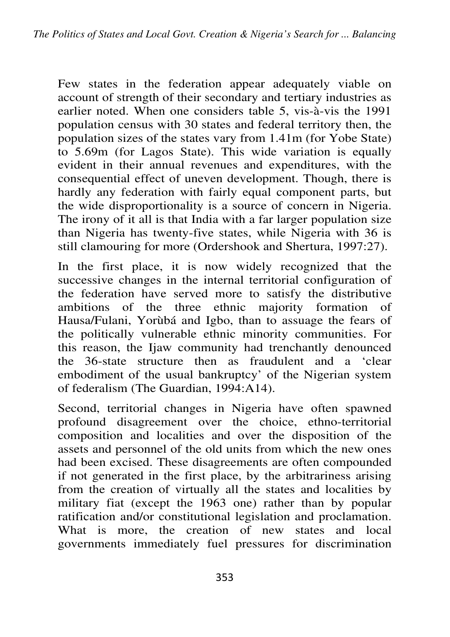Few states in the federation appear adequately viable on account of strength of their secondary and tertiary industries as earlier noted. When one considers table 5, vis-à-vis the 1991 population census with 30 states and federal territory then, the population sizes of the states vary from 1.41m (for Yobe State) to 5.69m (for Lagos State). This wide variation is equally evident in their annual revenues and expenditures, with the consequential effect of uneven development. Though, there is hardly any federation with fairly equal component parts, but the wide disproportionality is a source of concern in Nigeria. The irony of it all is that India with a far larger population size than Nigeria has twenty-five states, while Nigeria with 36 is still clamouring for more (Ordershook and Shertura, 1997:27).

In the first place, it is now widely recognized that the successive changes in the internal territorial configuration of the federation have served more to satisfy the distributive ambitions of the three ethnic majority formation of Hausa/Fulani, Yorùbá and Igbo, than to assuage the fears of the politically vulnerable ethnic minority communities. For this reason, the Ijaw community had trenchantly denounced the 36-state structure then as fraudulent and a 'clear embodiment of the usual bankruptcy' of the Nigerian system of federalism (The Guardian, 1994:A14).

Second, territorial changes in Nigeria have often spawned profound disagreement over the choice, ethno-territorial composition and localities and over the disposition of the assets and personnel of the old units from which the new ones had been excised. These disagreements are often compounded if not generated in the first place, by the arbitrariness arising from the creation of virtually all the states and localities by military fiat (except the 1963 one) rather than by popular ratification and/or constitutional legislation and proclamation. What is more, the creation of new states and local governments immediately fuel pressures for discrimination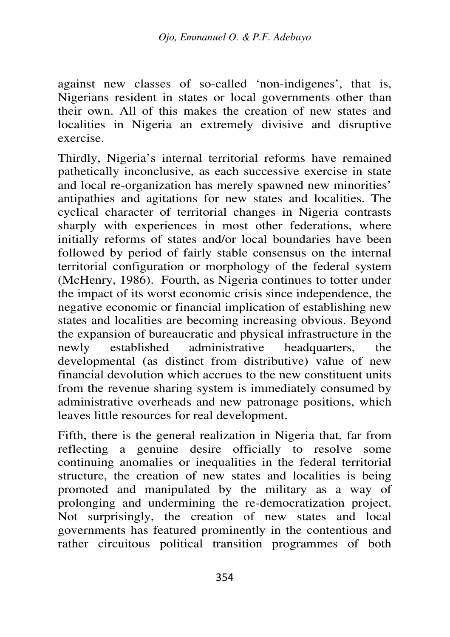against new classes of so-called 'non-indigenes', that is, Nigerians resident in states or local governments other than their own. All of this makes the creation of new states and localities in Nigeria an extremely divisive and disruptive exercise.

Thirdly, Nigeria's internal territorial reforms have remained pathetically inconclusive, as each successive exercise in state and local re-organization has merely spawned new minorities' antipathies and agitations for new states and localities. The cyclical character of territorial changes in Nigeria contrasts sharply with experiences in most other federations, where initially reforms of states and/or local boundaries have been followed by period of fairly stable consensus on the internal territorial configuration or morphology of the federal system (McHenry, 1986). Fourth, as Nigeria continues to totter under the impact of its worst economic crisis since independence, the negative economic or financial implication of establishing new states and localities are becoming increasing obvious. Beyond the expansion of bureaucratic and physical infrastructure in the newly established administrative headquarters, the developmental (as distinct from distributive) value of new financial devolution which accrues to the new constituent units from the revenue sharing system is immediately consumed by administrative overheads and new patronage positions, which leaves little resources for real development.

Fifth, there is the general realization in Nigeria that, far from reflecting a genuine desire officially to resolve some continuing anomalies or inequalities in the federal territorial structure, the creation of new states and localities is being promoted and manipulated by the military as a way of prolonging and undermining the re-democratization project. Not surprisingly, the creation of new states and local governments has featured prominently in the contentious and rather circuitous political transition programmes of both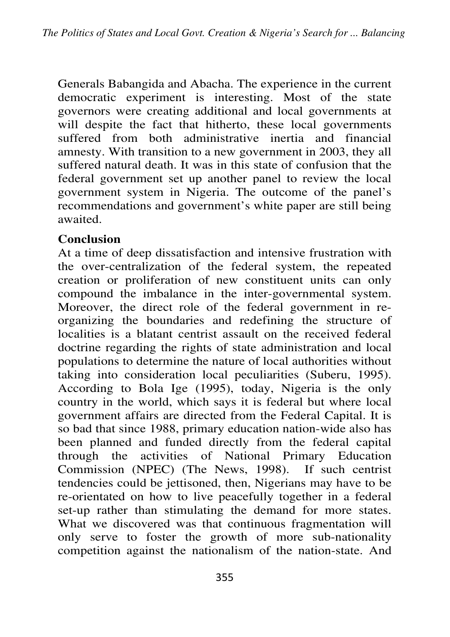Generals Babangida and Abacha. The experience in the current democratic experiment is interesting. Most of the state governors were creating additional and local governments at will despite the fact that hitherto, these local governments suffered from both administrative inertia and financial amnesty. With transition to a new government in 2003, they all suffered natural death. It was in this state of confusion that the federal government set up another panel to review the local government system in Nigeria. The outcome of the panel's recommendations and government's white paper are still being awaited.

## **Conclusion**

At a time of deep dissatisfaction and intensive frustration with the over-centralization of the federal system, the repeated creation or proliferation of new constituent units can only compound the imbalance in the inter-governmental system. Moreover, the direct role of the federal government in reorganizing the boundaries and redefining the structure of localities is a blatant centrist assault on the received federal doctrine regarding the rights of state administration and local populations to determine the nature of local authorities without taking into consideration local peculiarities (Suberu, 1995). According to Bola Ige (1995), today, Nigeria is the only country in the world, which says it is federal but where local government affairs are directed from the Federal Capital. It is so bad that since 1988, primary education nation-wide also has been planned and funded directly from the federal capital through the activities of National Primary Education Commission (NPEC) (The News, 1998). If such centrist tendencies could be jettisoned, then, Nigerians may have to be re-orientated on how to live peacefully together in a federal set-up rather than stimulating the demand for more states. What we discovered was that continuous fragmentation will only serve to foster the growth of more sub-nationality competition against the nationalism of the nation-state. And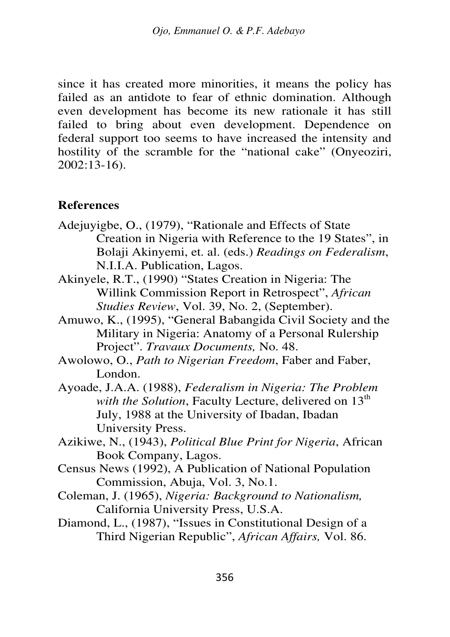since it has created more minorities, it means the policy has failed as an antidote to fear of ethnic domination. Although even development has become its new rationale it has still failed to bring about even development. Dependence on federal support too seems to have increased the intensity and hostility of the scramble for the "national cake" (Onyeoziri, 2002:13-16).

#### **References**

- Adejuyigbe, O., (1979), "Rationale and Effects of State Creation in Nigeria with Reference to the 19 States", in Bolaji Akinyemi, et. al. (eds.) *Readings on Federalism*, N.I.I.A. Publication, Lagos.
- Akinyele, R.T., (1990) "States Creation in Nigeria: The Willink Commission Report in Retrospect", *African Studies Review*, Vol. 39, No. 2, (September).
- Amuwo, K., (1995), "General Babangida Civil Society and the Military in Nigeria: Anatomy of a Personal Rulership Project". *Travaux Documents,* No. 48.
- Awolowo, O., *Path to Nigerian Freedom*, Faber and Faber, London.
- Ayoade, J.A.A. (1988), *Federalism in Nigeria: The Problem with the Solution*, Faculty Lecture, delivered on  $13<sup>th</sup>$ July, 1988 at the University of Ibadan, Ibadan University Press.
- Azikiwe, N., (1943), *Political Blue Print for Nigeria*, African Book Company, Lagos.
- Census News (1992), A Publication of National Population Commission, Abuja, Vol. 3, No.1.
- Coleman, J. (1965), *Nigeria: Background to Nationalism,* California University Press, U.S.A.
- Diamond, L., (1987), "Issues in Constitutional Design of a Third Nigerian Republic", *African Affairs,* Vol. 86.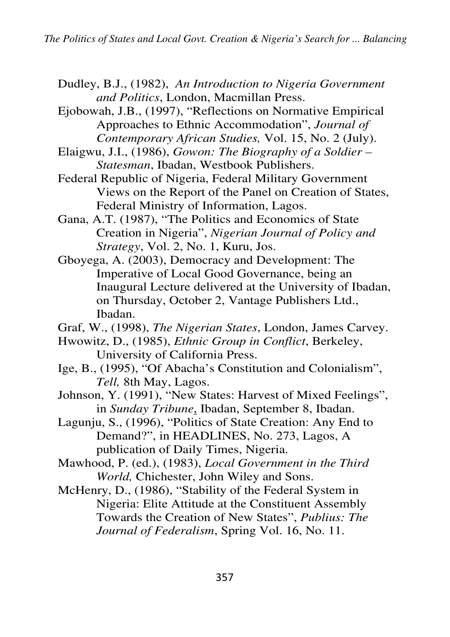- Dudley, B.J., (1982), *An Introduction to Nigeria Government and Politics*, London, Macmillan Press.
- Ejobowah, J.B., (1997), "Reflections on Normative Empirical Approaches to Ethnic Accommodation", *Journal of Contemporary African Studies,* Vol. 15, No. 2 (July).
- Elaigwu, J.I., (1986), *Gowon: The Biography of a Soldier Statesman*, Ibadan, Westbook Publishers.
- Federal Republic of Nigeria, Federal Military Government Views on the Report of the Panel on Creation of States, Federal Ministry of Information, Lagos.
- Gana, A.T. (1987), "The Politics and Economics of State Creation in Nigeria", *Nigerian Journal of Policy and Strategy*, Vol. 2, No. 1, Kuru, Jos.
- Gboyega, A. (2003), Democracy and Development: The Imperative of Local Good Governance, being an Inaugural Lecture delivered at the University of Ibadan, on Thursday, October 2, Vantage Publishers Ltd., Ibadan.
- Graf, W., (1998), *The Nigerian States*, London, James Carvey.
- Hwowitz, D., (1985), *Ethnic Group in Conflict*, Berkeley, University of California Press.
- Ige, B., (1995), "Of Abacha's Constitution and Colonialism", *Tell,* 8th May, Lagos.
- Johnson, Y. (1991), "New States: Harvest of Mixed Feelings", in *Sunday Tribune*, Ibadan, September 8, Ibadan.
- Lagunju, S., (1996), "Politics of State Creation: Any End to Demand?", in HEADLINES, No. 273, Lagos, A publication of Daily Times, Nigeria.
- Mawhood, P. (ed.), (1983), *Local Government in the Third World,* Chichester, John Wiley and Sons.
- McHenry, D., (1986), "Stability of the Federal System in Nigeria: Elite Attitude at the Constituent Assembly Towards the Creation of New States", *Publius: The Journal of Federalism*, Spring Vol. 16, No. 11.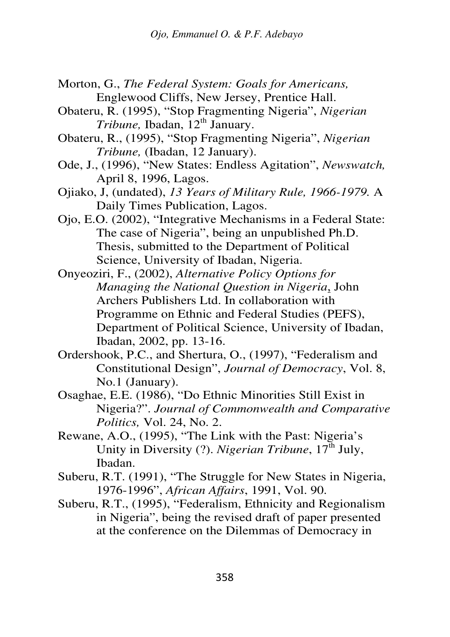- Morton, G., *The Federal System: Goals for Americans,* Englewood Cliffs, New Jersey, Prentice Hall.
- Obateru, R. (1995), "Stop Fragmenting Nigeria", *Nigerian Tribune*, Ibadan, 12<sup>th</sup> January.
- Obateru, R., (1995), "Stop Fragmenting Nigeria", *Nigerian Tribune,* (Ibadan, 12 January).
- Ode, J., (1996), "New States: Endless Agitation", *Newswatch,* April 8, 1996, Lagos.
- Ojiako, J, (undated), *13 Years of Military Rule, 1966-1979.* A Daily Times Publication, Lagos.
- Ojo, E.O. (2002), "Integrative Mechanisms in a Federal State: The case of Nigeria", being an unpublished Ph.D. Thesis, submitted to the Department of Political Science, University of Ibadan, Nigeria.
- Onyeoziri, F., (2002), *Alternative Policy Options for Managing the National Question in Nigeria*, John Archers Publishers Ltd. In collaboration with Programme on Ethnic and Federal Studies (PEFS), Department of Political Science, University of Ibadan, Ibadan, 2002, pp. 13-16.
- Ordershook, P.C., and Shertura, O., (1997), "Federalism and Constitutional Design", *Journal of Democracy*, Vol. 8, No.1 (January).
- Osaghae, E.E. (1986), "Do Ethnic Minorities Still Exist in Nigeria?". *Journal of Commonwealth and Comparative Politics,* Vol. 24, No. 2.
- Rewane, A.O., (1995), "The Link with the Past: Nigeria's Unity in Diversity (?). *Nigerian Tribune*, 17<sup>th</sup> July, Ibadan.
- Suberu, R.T. (1991), "The Struggle for New States in Nigeria, 1976-1996", *African Affairs*, 1991, Vol. 90.
- Suberu, R.T., (1995), "Federalism, Ethnicity and Regionalism in Nigeria", being the revised draft of paper presented at the conference on the Dilemmas of Democracy in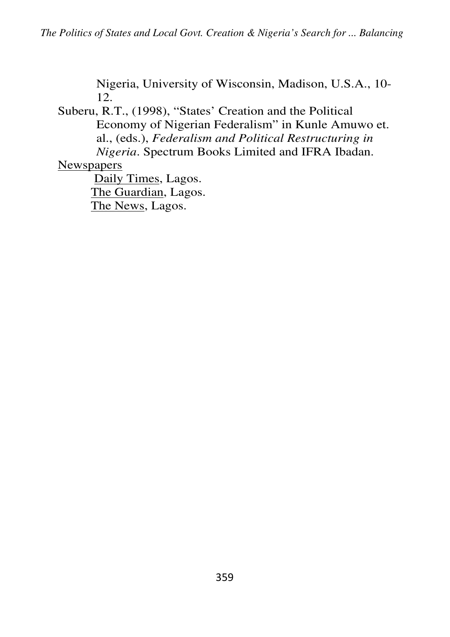Nigeria, University of Wisconsin, Madison, U.S.A., 10- 12.

Suberu, R.T., (1998), "States' Creation and the Political Economy of Nigerian Federalism" in Kunle Amuwo et. al., (eds.), *Federalism and Political Restructuring in Nigeria*. Spectrum Books Limited and IFRA Ibadan.

**Newspapers** 

 Daily Times, Lagos. The Guardian, Lagos. The News, Lagos.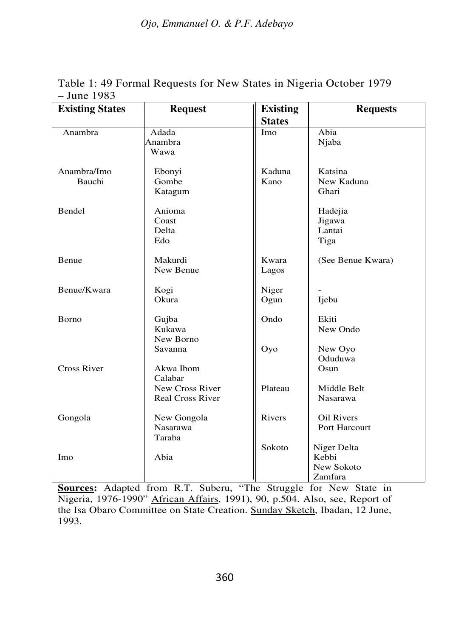| <b>Existing States</b> | <b>Request</b>                                        | <b>Existing</b> | <b>Requests</b>                               |  |  |  |  |
|------------------------|-------------------------------------------------------|-----------------|-----------------------------------------------|--|--|--|--|
|                        |                                                       | <b>States</b>   |                                               |  |  |  |  |
| Anambra                | Adada<br>Anambra<br>Wawa                              | Imo             | Abia<br>Njaba                                 |  |  |  |  |
| Anambra/Imo<br>Bauchi  | Ebonyi<br>Gombe<br>Katagum                            | Kaduna<br>Kano  | Katsina<br>New Kaduna<br>Ghari                |  |  |  |  |
| Bendel                 | Anioma<br>Coast<br>Delta<br>Edo                       |                 | Hadejia<br>Jigawa<br>Lantai<br>Tiga           |  |  |  |  |
| Benue                  | Makurdi<br>New Benue                                  | Kwara<br>Lagos  | (See Benue Kwara)                             |  |  |  |  |
| Benue/Kwara            | Kogi<br>Okura                                         | Niger<br>Ogun   | Ijebu                                         |  |  |  |  |
| Borno                  | Gujba<br>Kukawa<br>New Borno                          | Ondo            | Ekiti<br>New Ondo                             |  |  |  |  |
| <b>Cross River</b>     | Savanna<br>Akwa Ibom                                  | Oyo             | New Oyo<br>Oduduwa<br>Osun                    |  |  |  |  |
|                        | Calabar<br>New Cross River<br><b>Real Cross River</b> | Plateau         | Middle Belt<br>Nasarawa                       |  |  |  |  |
| Gongola                | New Gongola<br><b>Nasarawa</b><br>Taraba              | Rivers          | <b>Oil Rivers</b><br>Port Harcourt            |  |  |  |  |
| Imo                    | Abia                                                  | Sokoto          | Niger Delta<br>Kebbi<br>New Sokoto<br>Zamfara |  |  |  |  |

Table 1: 49 Formal Requests for New States in Nigeria October 1979 – June 1983

**Sources:** Adapted from R.T. Suberu, "The Struggle for New State in Nigeria, 1976-1990" African Affairs, 1991), 90, p.504. Also, see, Report of the Isa Obaro Committee on State Creation. Sunday Sketch, Ibadan, 12 June, 1993.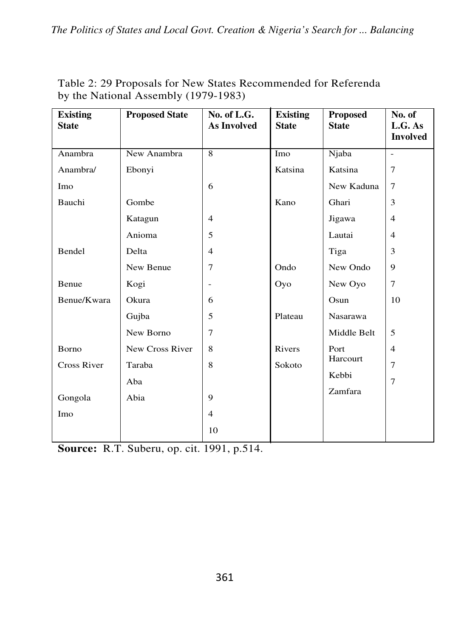| <b>Existing</b><br><b>State</b> | <b>Proposed State</b> | No. of $L.G.$<br>As Involved | <b>Existing</b><br><b>State</b> | <b>Proposed</b><br><b>State</b> | No. of<br>L.G. As<br><b>Involved</b> |
|---------------------------------|-----------------------|------------------------------|---------------------------------|---------------------------------|--------------------------------------|
| Anambra                         | New Anambra           | 8                            | Imo                             | Njaba                           | $\overline{a}$                       |
| Anambra/                        | Ebonyi                |                              | Katsina                         | Katsina                         | $\tau$                               |
| Imo                             |                       | 6                            |                                 | New Kaduna                      | $\tau$                               |
| Bauchi                          | Gombe                 |                              | Kano                            | Ghari                           | 3                                    |
|                                 | Katagun               | $\overline{4}$               |                                 | Jigawa                          | $\overline{4}$                       |
|                                 | Anioma                | 5                            |                                 | Lautai                          | $\overline{4}$                       |
| Bendel                          | Delta                 | $\overline{4}$               |                                 | Tiga                            | 3                                    |
|                                 | New Benue             | 7                            | Ondo                            | New Ondo                        | 9                                    |
| Benue                           | Kogi                  | $\overline{\phantom{m}}$     | Oyo                             | New Oyo                         | 7                                    |
| Benue/Kwara                     | Okura                 | 6                            |                                 | Osun                            | 10                                   |
|                                 | Gujba                 | 5                            | Plateau                         | Nasarawa                        |                                      |
|                                 | New Borno             | 7                            |                                 | Middle Belt                     | 5                                    |
| Borno                           | New Cross River       | 8                            | Rivers                          | Port                            | $\overline{4}$                       |
| <b>Cross River</b>              | Taraba                | 8                            | Sokoto                          | Harcourt                        | $\overline{7}$                       |
|                                 | Aba                   |                              |                                 | Kebbi                           | $\overline{7}$                       |
| Gongola                         | Abia                  | 9                            |                                 | Zamfara                         |                                      |
| Imo                             |                       | $\overline{\mathbf{4}}$      |                                 |                                 |                                      |
|                                 |                       | 10                           |                                 |                                 |                                      |

Table 2: 29 Proposals for New States Recommended for Referenda by the National Assembly (1979-1983)

**Source:** R.T. Suberu, op. cit. 1991, p.514.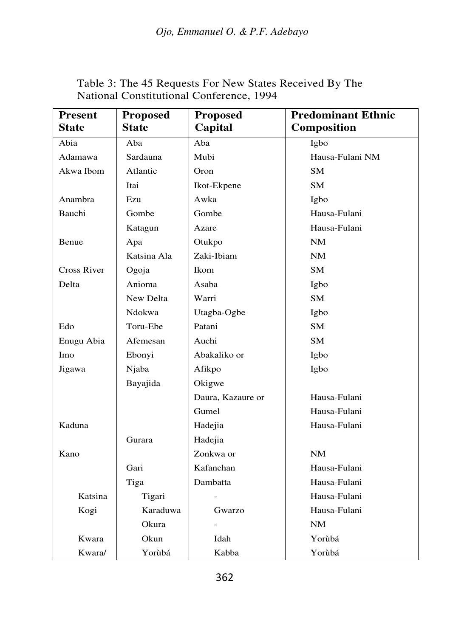| <b>Present</b> | <b>Proposed</b> | <b>Proposed</b>   | <b>Predominant Ethnic</b> |
|----------------|-----------------|-------------------|---------------------------|
| <b>State</b>   | <b>State</b>    | Capital           | Composition               |
| Abia           | Aba             | Aba               | Igbo                      |
| Adamawa        | Sardauna        | Mubi              | Hausa-Fulani NM           |
| Akwa Ibom      | Atlantic        | Oron              | SМ                        |
|                | Itai            | Ikot-Ekpene       | SM                        |
| Anambra        | Ezu             | Awka              | Igbo                      |
| Bauchi         | Gombe           | Gombe             | Hausa-Fulani              |
|                | Katagun         | Azare             | Hausa-Fulani              |
| Benue          | Apa             | Otukpo            | NM                        |
|                | Katsina Ala     | Zaki-Ibiam        | NM                        |
| Cross River    | Ogoja           | <b>Ikom</b>       | SM.                       |
| Delta          | Anioma          | Asaba             | Igbo                      |
|                | New Delta       | Warri             | <b>SM</b>                 |
|                | Ndokwa          | Utagba-Ogbe       | Igbo                      |
| Edo            | Toru-Ebe        | Patani            | SM                        |
| Enugu Abia     | Afemesan        | Auchi             | SM                        |
| Imo            | Ebonyi          | Abakaliko or      | Igbo                      |
| Jigawa         | Njaba           | Afikpo            | Igbo                      |
|                | Bayajida        | Okigwe            |                           |
|                |                 | Daura, Kazaure or | Hausa-Fulani              |
|                |                 | Gumel             | Hausa-Fulani              |
| Kaduna         |                 | Hadejia           | Hausa-Fulani              |
|                | Gurara          | Hadejia           |                           |
| Kano           |                 | Zonkwa or         | NM                        |
|                | Gari            | Kafanchan         | Hausa-Fulani              |
|                | Tiga            | Dambatta          | Hausa-Fulani              |
| Katsina        | Tigari          |                   | Hausa-Fulani              |
| Kogi           | Karaduwa        | Gwarzo            | Hausa-Fulani              |
|                | Okura           |                   | NM                        |
| Kwara          | Okun            | Idah              | Yorùbá                    |
| Kwara/         | Yorùbá          | Kabba             | Yorùbá                    |

Table 3: The 45 Requests For New States Received By The National Constitutional Conference, 1994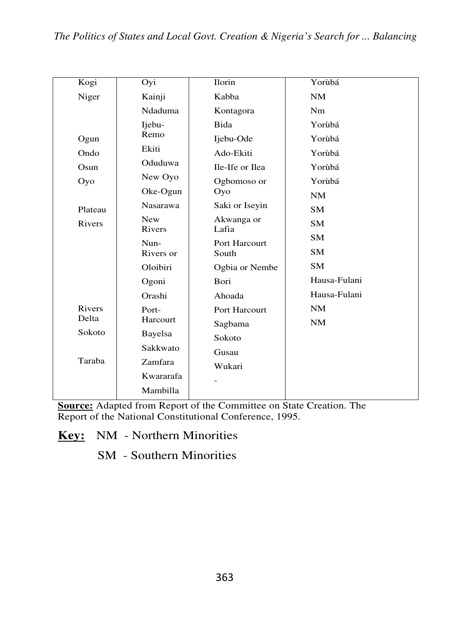| Kogi          | Oyi                  | Ilorin              | Yorùbá       |
|---------------|----------------------|---------------------|--------------|
| Niger         | Kainji               | Kabba               | NM           |
|               | Ndaduma              | Kontagora           | Nm           |
|               | Ijebu-               | <b>Bida</b>         | Yorùbá       |
| Ogun          | Remo                 | Ijebu-Ode           | Yorùbá       |
| Ondo          | Ekiti                | Ado-Ekiti           | Yorùbá       |
| Osum          | Oduduwa              | Ile-Ife or Ilea     | Yorùbá       |
| Oyo           | New Oyo              | Ogbomoso or         | Yorùbá       |
|               | $Oke-Ogun$           | Oyo                 | NM           |
| Plateau       | <b>Nasarawa</b>      | Saki or Iseyin      | <b>SM</b>    |
| <b>Rivers</b> | <b>New</b><br>Rivers | Akwanga or<br>Lafia | <b>SM</b>    |
|               | Nun-                 | Port Harcourt       | <b>SM</b>    |
|               | Rivers or            | South               | <b>SM</b>    |
|               | Oloibiri             | Ogbia or Nembe      | <b>SM</b>    |
|               | Ogoni                | Bori                | Hausa-Fulani |
|               | Orashi               | Ahoada              | Hausa-Fulani |
| Rivers        | Port-                | Port Harcourt       | NM           |
| Delta         | Harcourt             | Sagbama             | NM           |
| Sokoto        | Bayelsa              | Sokoto              |              |
|               | Sakkwato             | Gusau               |              |
| Taraba        | Zamfara              | Wukari              |              |
|               | Kwararafa            |                     |              |
|               | Mambilla             |                     |              |
|               |                      |                     |              |

**Source:** Adapted from Report of the Committee on State Creation. The Report of the National Constitutional Conference, 1995.

**Key:** NM - Northern Minorities

SM - Southern Minorities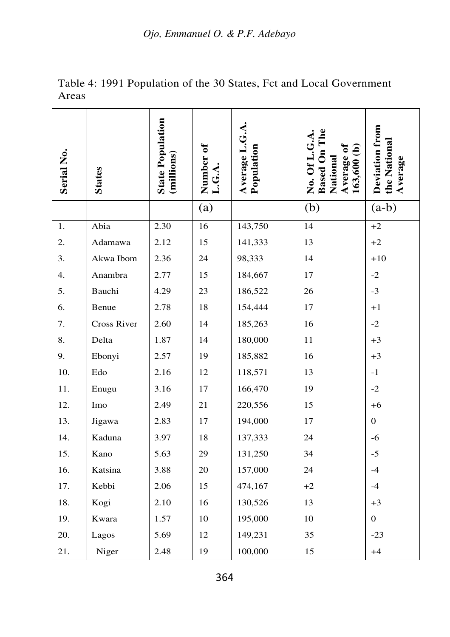*Ojo, Emmanuel O. & P.F. Adebayo* 

| Serial No. | <b>States</b> | <b>State Population</b><br>(millions) | Number of<br>L.G.A. | Average L.G.A.<br>Population | <b>Based On The</b><br>No. Of L.G.A.<br>Average of<br>163,600(b)<br>National | Deviation from<br>the National<br>Average |
|------------|---------------|---------------------------------------|---------------------|------------------------------|------------------------------------------------------------------------------|-------------------------------------------|
|            |               |                                       | (a)                 |                              | (b)                                                                          | $(a-b)$                                   |
| 1.         | Abia          | 2.30                                  | 16                  | 143,750                      | 14                                                                           | $+2$                                      |
| 2.         | Adamawa       | 2.12                                  | 15                  | 141,333                      | 13                                                                           | $+2$                                      |
| 3.         | Akwa Ibom     | 2.36                                  | 24                  | 98,333                       | 14                                                                           | $+10$                                     |
| 4.         | Anambra       | 2.77                                  | 15                  | 184,667                      | 17                                                                           | $-2$                                      |
| 5.         | Bauchi        | 4.29                                  | 23                  | 186,522                      | 26                                                                           | $-3$                                      |
| 6.         | Benue         | 2.78                                  | 18                  | 154,444                      | 17                                                                           | $+1$                                      |
| 7.         | Cross River   | 2.60                                  | 14                  | 185,263                      | 16                                                                           | $-2$                                      |
| 8.         | Delta         | 1.87                                  | 14                  | 180,000                      | 11                                                                           | $+3$                                      |
| 9.         | Ebonyi        | 2.57                                  | 19                  | 185,882                      | 16                                                                           | $+3$                                      |
| 10.        | Edo           | 2.16                                  | 12                  | 118,571                      | 13                                                                           | $-1$                                      |
| 11.        | Enugu         | 3.16                                  | 17                  | 166,470                      | 19                                                                           | $-2$                                      |
| 12.        | Imo           | 2.49                                  | 21                  | 220,556                      | 15                                                                           | $+6$                                      |
| 13.        | Jigawa        | 2.83                                  | 17                  | 194,000                      | 17                                                                           | 0                                         |
| 14.        | Kaduna        | 3.97                                  | 18                  | 137,333                      | 24                                                                           | $-6$                                      |
| 15.        | Kano          | 5.63                                  | 29                  | 131,250                      | 34                                                                           | $-5$                                      |
| 16.        | Katsina       | 3.88                                  | 20                  | 157,000                      | 24                                                                           | $-4$                                      |
| 17.        | Kebbi         | 2.06                                  | 15                  | 474,167                      | $+2$                                                                         | $-4$                                      |
| 18.        | Kogi          | 2.10                                  | 16                  | 130,526                      | 13                                                                           | $+3$                                      |
| 19.        | Kwara         | 1.57                                  | 10                  | 195,000                      | 10                                                                           | $\theta$                                  |
| 20.        | Lagos         | 5.69                                  | 12                  | 149,231                      | 35                                                                           | $-23$                                     |
| 21.        | Niger         | 2.48                                  | 19                  | 100,000                      | 15                                                                           | $+4$                                      |

Table 4: 1991 Population of the 30 States, Fct and Local Government Areas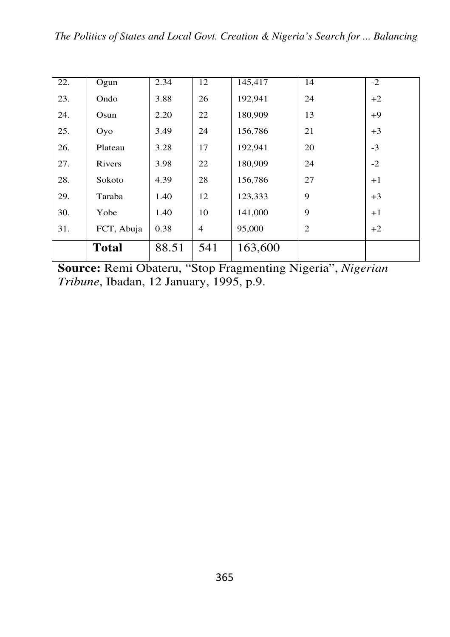| 22. | Ogun         | 2.34  | 12             | 145,417 | 14             | $-2$ |
|-----|--------------|-------|----------------|---------|----------------|------|
| 23. | Ondo         | 3.88  | 26             | 192,941 | 24             | $+2$ |
| 24. | Osun         | 2.20  | 22             | 180,909 | 13             | $+9$ |
| 25. | Oyo          | 3.49  | 24             | 156,786 | 21             | $+3$ |
| 26. | Plateau      | 3.28  | 17             | 192,941 | 20             | $-3$ |
| 27. | Rivers       | 3.98  | 22             | 180,909 | 24             | $-2$ |
| 28. | Sokoto       | 4.39  | 28             | 156,786 | 27             | $+1$ |
| 29. | Taraba       | 1.40  | 12             | 123,333 | 9              | $+3$ |
| 30. | Yobe         | 1.40  | 10             | 141,000 | 9              | $+1$ |
| 31. | FCT, Abuja   | 0.38  | $\overline{4}$ | 95,000  | $\overline{2}$ | $+2$ |
|     | <b>Total</b> | 88.51 | 541            | 163,600 |                |      |

**Source:** Remi Obateru, "Stop Fragmenting Nigeria", *Nigerian Tribune*, Ibadan, 12 January, 1995, p.9.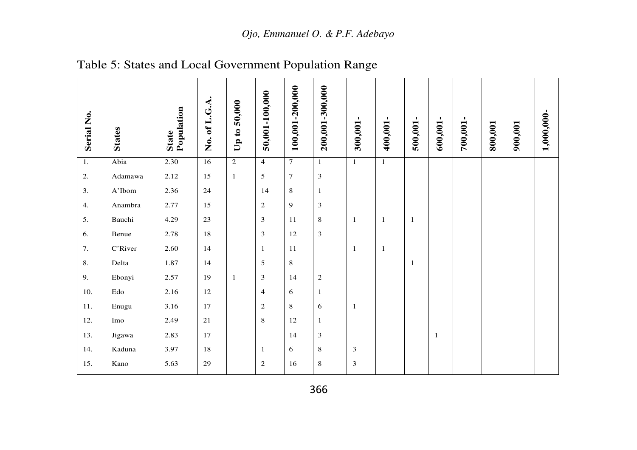| Serial No.       | <b>States</b> | State<br>Population | No. of L.G.A. | 50,000<br>Up to: | 50,001-100,000 | 100,001-200,000 | 200,001-300,000 | 300,001-     | 400,001-       | 500,001-     | 600,001-     | 700,001- | 800,001 | 900,001 | 1,000,000- |
|------------------|---------------|---------------------|---------------|------------------|----------------|-----------------|-----------------|--------------|----------------|--------------|--------------|----------|---------|---------|------------|
| $\overline{1}$ . | Abia          | 2.30                | 16            | $\overline{2}$   | $\overline{4}$ | $\overline{7}$  | $\mathbf{1}$    | $\mathbf{1}$ | $\overline{1}$ |              |              |          |         |         |            |
| 2.               | Adamawa       | 2.12                | 15            | $\mathbf{1}$     | 5              | $\overline{7}$  | $\overline{3}$  |              |                |              |              |          |         |         |            |
| 3.               | A'Ibom        | 2.36                | 24            |                  | 14             | $\,$ 8 $\,$     | $\mathbf{1}$    |              |                |              |              |          |         |         |            |
| 4.               | Anambra       | 2.77                | 15            |                  | $\overline{2}$ | 9               | 3               |              |                |              |              |          |         |         |            |
| 5.               | Bauchi        | 4.29                | 23            |                  | 3              | 11              | 8               | $\mathbf{1}$ | $\mathbf{1}$   | $\mathbf{1}$ |              |          |         |         |            |
| 6.               | Benue         | 2.78                | 18            |                  | 3              | 12              | 3               |              |                |              |              |          |         |         |            |
| 7.               | C'River       | 2.60                | 14            |                  | $\mathbf{1}$   | 11              |                 | 1            | -1             |              |              |          |         |         |            |
| 8.               | Delta         | 1.87                | 14            |                  | 5              | $\,$ 8 $\,$     |                 |              |                | $\mathbf{1}$ |              |          |         |         |            |
| 9.               | Ebonyi        | 2.57                | 19            | $\mathbf{1}$     | 3              | 14              | $\overline{c}$  |              |                |              |              |          |         |         |            |
| 10.              | Edo           | 2.16                | 12            |                  | $\overline{4}$ | 6               | $\mathbf{1}$    |              |                |              |              |          |         |         |            |
| 11.              | Enugu         | 3.16                | 17            |                  | $\overline{c}$ | $\,$ 8 $\,$     | 6               | $\mathbf{1}$ |                |              |              |          |         |         |            |
| 12.              | Imo           | 2.49                | 21            |                  | 8              | 12              | 1               |              |                |              |              |          |         |         |            |
| 13.              | Jigawa        | 2.83                | 17            |                  |                | 14              | 3               |              |                |              | $\mathbf{1}$ |          |         |         |            |
| 14.              | Kaduna        | 3.97                | 18            |                  | 1              | 6               | 8               | 3            |                |              |              |          |         |         |            |
| 15.              | Kano          | 5.63                | 29            |                  | $\mathbf{2}$   | 16              | 8               | 3            |                |              |              |          |         |         |            |

Table 5: States and Local Government Population Range